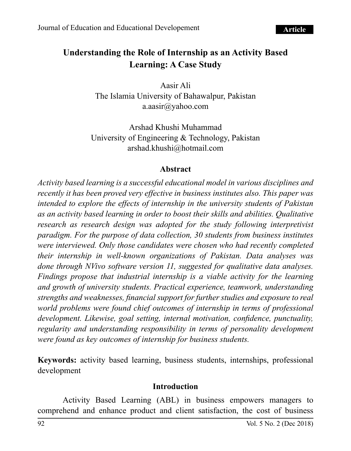# **Understanding the Role of Internship as an Activity Based Learning: A Case Study**

Aasir Ali The Islamia University of Bahawalpur, Pakistan [a.aasir@yahoo.com](mailto:a.aasir@yahoo.com)

Arshad Khushi Muhammad University of Engineering & Technology, Pakistan [arshad.khushi@hotmail.com](mailto:Arshad.khushi@hotmail.com)

#### **Abstract**

*Activity based learning is a successful educational model in various disciplines and recently it has been proved very effective in business institutes also. This paper was intended to explore the effects of internship in the university students of Pakistan as an activity based learning in order to boost their skills and abilities. Qualitative research as research design was adopted for the study following interpretivist paradigm. For the purpose of data collection, 30 students from business institutes were interviewed. Only those candidates were chosen who had recently completed their internship in well-known organizations of Pakistan. Data analyses was done through NVivo software version 11, suggested for qualitative data analyses. Findings propose that industrial internship is a viable activity for the learning and growth of university students. Practical experience, teamwork, understanding strengths and weaknesses, financial support for further studies and exposure to real world problems were found chief outcomes of internship in terms of professional development. Likewise, goal setting, internal motivation, confidence, punctuality, regularity and understanding responsibility in terms of personality development were found as key outcomes of internship for business students.*

**Keywords:** activity based learning, business students, internships, professional development

#### **Introduction**

Activity Based Learning (ABL) in business empowers managers to comprehend and enhance product and client satisfaction, the cost of business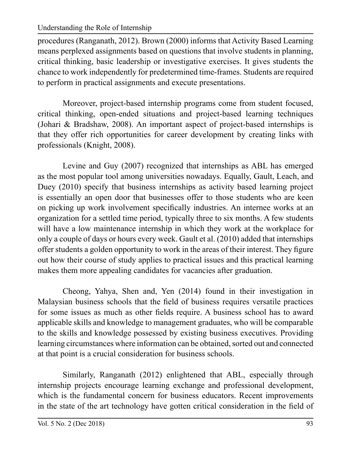#### Understanding the Role of Internship

procedures (Ranganath, 2012). Brown (2000) informs that Activity Based Learning means perplexed assignments based on questions that involve students in planning, critical thinking, basic leadership or investigative exercises. It gives students the chance to work independently for predetermined time-frames. Students are required to perform in practical assignments and execute presentations.

Moreover, project-based internship programs come from student focused, critical thinking, open-ended situations and project-based learning techniques (Johari & Bradshaw, 2008). An important aspect of project-based internships is that they offer rich opportunities for career development by creating links with professionals (Knight, 2008).

Levine and Guy (2007) recognized that internships as ABL has emerged as the most popular tool among universities nowadays. Equally, Gault, Leach, and Duey (2010) specify that business internships as activity based learning project is essentially an open door that businesses offer to those students who are keen on picking up work involvement specifically industries. An internee works at an organization for a settled time period, typically three to six months. A few students will have a low maintenance internship in which they work at the workplace for only a couple of days or hours every week. Gault et al. (2010) added that internships offer students a golden opportunity to work in the areas of their interest. They figure out how their course of study applies to practical issues and this practical learning makes them more appealing candidates for vacancies after graduation.

Cheong, Yahya, Shen and, Yen (2014) found in their investigation in Malaysian business schools that the field of business requires versatile practices for some issues as much as other fields require. A business school has to award applicable skills and knowledge to management graduates, who will be comparable to the skills and knowledge possessed by existing business executives. Providing learning circumstances where information can be obtained, sorted out and connected at that point is a crucial consideration for business schools.

Similarly, Ranganath (2012) enlightened that ABL, especially through internship projects encourage learning exchange and professional development, which is the fundamental concern for business educators. Recent improvements in the state of the art technology have gotten critical consideration in the field of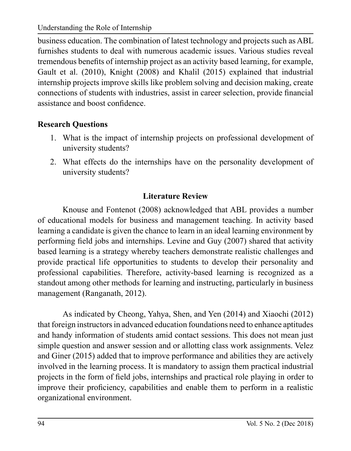Understanding the Role of Internship

business education. The combination of latest technology and projects such as ABL furnishes students to deal with numerous academic issues. Various studies reveal tremendous benefits of internship project as an activity based learning, for example, Gault et al. (2010), Knight (2008) and Khalil (2015) explained that industrial internship projects improve skills like problem solving and decision making, create connections of students with industries, assist in career selection, provide financial assistance and boost confidence.

## **Research Questions**

- 1. What is the impact of internship projects on professional development of university students?
- 2. What effects do the internships have on the personality development of university students?

## **Literature Review**

Knouse and Fontenot (2008) acknowledged that ABL provides a number of educational models for business and management teaching. In activity based learning a candidate is given the chance to learn in an ideal learning environment by performing field jobs and internships. Levine and Guy (2007) shared that activity based learning is a strategy whereby teachers demonstrate realistic challenges and provide practical life opportunities to students to develop their personality and professional capabilities. Therefore, activity-based learning is recognized as a standout among other methods for learning and instructing, particularly in business management (Ranganath, 2012).

As indicated by Cheong, Yahya, Shen, and Yen (2014) and Xiaochi (2012) that foreign instructors in advanced education foundations need to enhance aptitudes and handy information of students amid contact sessions. This does not mean just simple question and answer session and or allotting class work assignments. Velez and Giner (2015) added that to improve performance and abilities they are actively involved in the learning process. It is mandatory to assign them practical industrial projects in the form of field jobs, internships and practical role playing in order to improve their proficiency, capabilities and enable them to perform in a realistic organizational environment.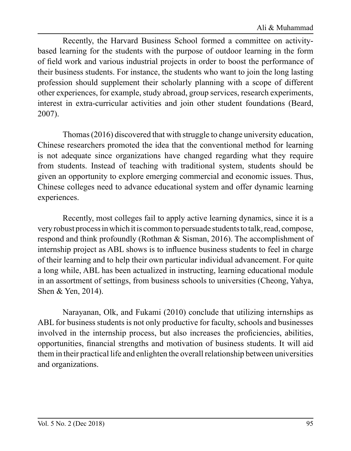Recently, the Harvard Business School formed a committee on activitybased learning for the students with the purpose of outdoor learning in the form of field work and various industrial projects in order to boost the performance of their business students. For instance, the students who want to join the long lasting profession should supplement their scholarly planning with a scope of different other experiences, for example, study abroad, group services, research experiments, interest in extra-curricular activities and join other student foundations (Beard, 2007).

Thomas (2016) discovered that with struggle to change university education, Chinese researchers promoted the idea that the conventional method for learning is not adequate since organizations have changed regarding what they require from students. Instead of teaching with traditional system, students should be given an opportunity to explore emerging commercial and economic issues. Thus, Chinese colleges need to advance educational system and offer dynamic learning experiences.

Recently, most colleges fail to apply active learning dynamics, since it is a very robust process in which it is common to persuade students to talk, read, compose, respond and think profoundly (Rothman & Sisman, 2016). The accomplishment of internship project as ABL shows is to influence business students to feel in charge of their learning and to help their own particular individual advancement. For quite a long while, ABL has been actualized in instructing, learning educational module in an assortment of settings, from business schools to universities (Cheong, Yahya, Shen & Yen, 2014).

Narayanan, Olk, and Fukami (2010) conclude that utilizing internships as ABL for business students is not only productive for faculty, schools and businesses involved in the internship process, but also increases the proficiencies, abilities, opportunities, financial strengths and motivation of business students. It will aid them in their practical life and enlighten the overall relationship between universities and organizations.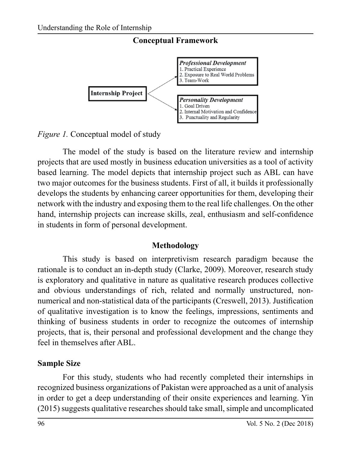

*Figure 1.* Conceptual model of study

The model of the study is based on the literature review and internship projects that are used mostly in business education universities as a tool of activity based learning. The model depicts that internship project such as ABL can have two major outcomes for the business students. First of all, it builds it professionally develops the students by enhancing career opportunities for them, developing their network with the industry and exposing them to the real life challenges. On the other hand, internship projects can increase skills, zeal, enthusiasm and self-confidence in students in form of personal development.

## **Methodology**

This study is based on interpretivism research paradigm because the rationale is to conduct an in-depth study (Clarke, 2009). Moreover, research study is exploratory and qualitative in nature as qualitative research produces collective and obvious understandings of rich, related and normally unstructured, nonnumerical and non-statistical data of the participants (Creswell, 2013). Justification of qualitative investigation is to know the feelings, impressions, sentiments and thinking of business students in order to recognize the outcomes of internship projects, that is, their personal and professional development and the change they feel in themselves after ABL.

## **Sample Size**

For this study, students who had recently completed their internships in recognized business organizations of Pakistan were approached as a unit of analysis in order to get a deep understanding of their onsite experiences and learning. Yin (2015) suggests qualitative researches should take small, simple and uncomplicated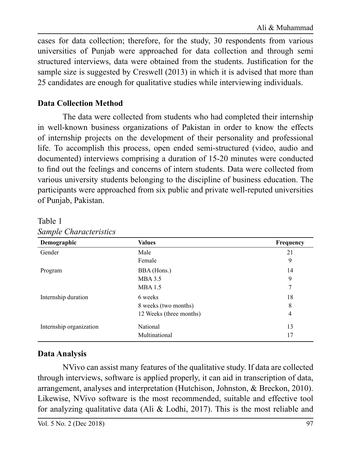cases for data collection; therefore, for the study, 30 respondents from various universities of Punjab were approached for data collection and through semi structured interviews, data were obtained from the students. Justification for the sample size is suggested by Creswell (2013) in which it is advised that more than 25 candidates are enough for qualitative studies while interviewing individuals.

### **Data Collection Method**

The data were collected from students who had completed their internship in well-known business organizations of Pakistan in order to know the effects of internship projects on the development of their personality and professional life. To accomplish this process, open ended semi-structured (video, audio and documented) interviews comprising a duration of 15-20 minutes were conducted to find out the feelings and concerns of intern students. Data were collected from various university students belonging to the discipline of business education. The participants were approached from six public and private well-reputed universities of Punjab, Pakistan.

| Demographic             | <b>Values</b>           | <b>Frequency</b> |
|-------------------------|-------------------------|------------------|
| Gender                  | Male                    | 21               |
|                         | Female                  | 9                |
| Program                 | BBA (Hons.)             | 14               |
|                         | MBA 3.5                 | 9                |
|                         | <b>MBA</b> 1.5          | 7                |
| Internship duration     | 6 weeks                 | 18               |
|                         | 8 weeks (two months)    | 8                |
|                         | 12 Weeks (three months) | 4                |
| Internship organization | National                | 13               |
|                         | Multinational           | 17               |

Table 1 *Sample Characteristics*

## **Data Analysis**

NVivo can assist many features of the qualitative study. If data are collected through interviews, software is applied properly, it can aid in transcription of data, arrangement, analyses and interpretation (Hutchison, Johnston, & Breckon, 2010). Likewise, NVivo software is the most recommended, suitable and effective tool for analyzing qualitative data (Ali & Lodhi, 2017). This is the most reliable and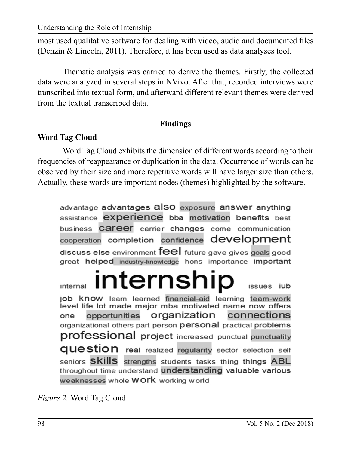Understanding the Role of Internship

most used qualitative software for dealing with video, audio and documented files (Denzin & Lincoln, 2011). Therefore, it has been used as data analyses tool.

Thematic analysis was carried to derive the themes. Firstly, the collected data were analyzed in several steps in NVivo. After that, recorded interviews were transcribed into textual form, and afterward different relevant themes were derived from the textual transcribed data.

### **Findings**

## **Word Tag Cloud**

Word Tag Cloud exhibits the dimension of different words according to their frequencies of reappearance or duplication in the data. Occurrence of words can be observed by their size and more repetitive words will have larger size than others. Actually, these words are important nodes (themes) highlighted by the software.

advantage advantages also exposure answer anything assistance **experience** bba motivation benefits best business Career carrier changes come communication cooperation completion confidence development discuss else environment feel future gave gives goals good great helped industry-knowledge hons importance important

**Internship** internal issues iub job know learn learned financial-aid learning team-work level life lot made maior mba motivated name now offers organization one opportunities connections organizational others part person personal practical problems professional project increased punctual punctuality **QUestion** real realized requiarity sector selection self seniors Skills strengths students tasks thing things ABL throughout time understand understanding valuable various weaknesses whole WOrk working world

*Figure 2.* Word Tag Cloud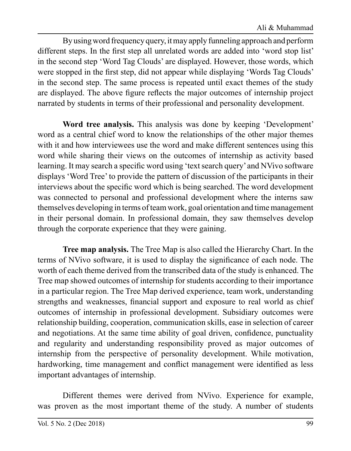By using word frequency query, it may apply funneling approach and perform different steps. In the first step all unrelated words are added into 'word stop list' in the second step 'Word Tag Clouds' are displayed. However, those words, which were stopped in the first step, did not appear while displaying 'Words Tag Clouds' in the second step. The same process is repeated until exact themes of the study are displayed. The above figure reflects the major outcomes of internship project narrated by students in terms of their professional and personality development.

**Word tree analysis.** This analysis was done by keeping 'Development' word as a central chief word to know the relationships of the other major themes with it and how interviewees use the word and make different sentences using this word while sharing their views on the outcomes of internship as activity based learning. It may search a specific word using 'text search query' and NVivo software displays 'Word Tree' to provide the pattern of discussion of the participants in their interviews about the specific word which is being searched. The word development was connected to personal and professional development where the interns saw themselves developing in terms of team work, goal orientation and time management in their personal domain. In professional domain, they saw themselves develop through the corporate experience that they were gaining.

**Tree map analysis.** The Tree Map is also called the Hierarchy Chart. In the terms of NVivo software, it is used to display the significance of each node. The worth of each theme derived from the transcribed data of the study is enhanced. The Tree map showed outcomes of internship for students according to their importance in a particular region. The Tree Map derived experience, team work, understanding strengths and weaknesses, financial support and exposure to real world as chief outcomes of internship in professional development. Subsidiary outcomes were relationship building, cooperation, communication skills, ease in selection of career and negotiations. At the same time ability of goal driven, confidence, punctuality and regularity and understanding responsibility proved as major outcomes of internship from the perspective of personality development. While motivation, hardworking, time management and conflict management were identified as less important advantages of internship.

Different themes were derived from NVivo. Experience for example, was proven as the most important theme of the study. A number of students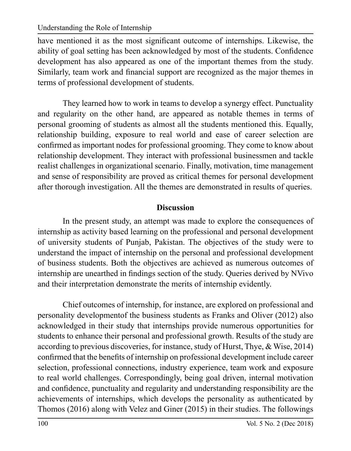have mentioned it as the most significant outcome of internships. Likewise, the ability of goal setting has been acknowledged by most of the students. Confidence development has also appeared as one of the important themes from the study. Similarly, team work and financial support are recognized as the major themes in terms of professional development of students.

They learned how to work in teams to develop a synergy effect. Punctuality and regularity on the other hand, are appeared as notable themes in terms of personal grooming of students as almost all the students mentioned this. Equally, relationship building, exposure to real world and ease of career selection are confirmed as important nodes for professional grooming. They come to know about relationship development. They interact with professional businessmen and tackle realist challenges in organizational scenario. Finally, motivation, time management and sense of responsibility are proved as critical themes for personal development after thorough investigation. All the themes are demonstrated in results of queries.

### **Discussion**

In the present study, an attempt was made to explore the consequences of internship as activity based learning on the professional and personal development of university students of Punjab, Pakistan. The objectives of the study were to understand the impact of internship on the personal and professional development of business students. Both the objectives are achieved as numerous outcomes of internship are unearthed in findings section of the study. Queries derived by NVivo and their interpretation demonstrate the merits of internship evidently.

Chief outcomes of internship, for instance, are explored on professional and personality developmentof the business students as Franks and Oliver (2012) also acknowledged in their study that internships provide numerous opportunities for students to enhance their personal and professional growth. Results of the study are according to previous discoveries, for instance, study of Hurst, Thye, & Wise, 2014) confirmed that the benefits of internship on professional development include career selection, professional connections, industry experience, team work and exposure to real world challenges. Correspondingly, being goal driven, internal motivation and confidence, punctuality and regularity and understanding responsibility are the achievements of internships, which develops the personality as authenticated by Thomos (2016) along with Velez and Giner (2015) in their studies. The followings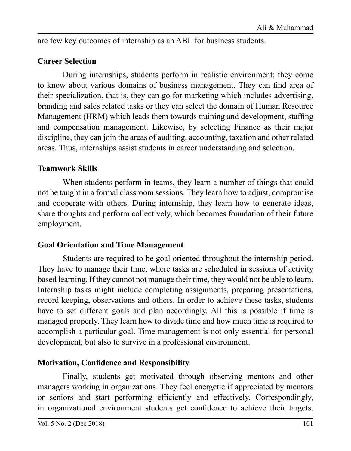are few key outcomes of internship as an ABL for business students.

### **Career Selection**

During internships, students perform in realistic environment; they come to know about various domains of business management. They can find area of their specialization, that is, they can go for marketing which includes advertising, branding and sales related tasks or they can select the domain of Human Resource Management (HRM) which leads them towards training and development, staffing and compensation management. Likewise, by selecting Finance as their major discipline, they can join the areas of auditing, accounting, taxation and other related areas. Thus, internships assist students in career understanding and selection.

### **Teamwork Skills**

When students perform in teams, they learn a number of things that could not be taught in a formal classroom sessions. They learn how to adjust, compromise and cooperate with others. During internship, they learn how to generate ideas, share thoughts and perform collectively, which becomes foundation of their future employment.

#### **Goal Orientation and Time Management**

Students are required to be goal oriented throughout the internship period. They have to manage their time, where tasks are scheduled in sessions of activity based learning. If they cannot not manage their time, they would not be able to learn. Internship tasks might include completing assignments, preparing presentations, record keeping, observations and others. In order to achieve these tasks, students have to set different goals and plan accordingly. All this is possible if time is managed properly. They learn how to divide time and how much time is required to accomplish a particular goal. Time management is not only essential for personal development, but also to survive in a professional environment.

#### **Motivation, Confidence and Responsibility**

Finally, students get motivated through observing mentors and other managers working in organizations. They feel energetic if appreciated by mentors or seniors and start performing efficiently and effectively. Correspondingly, in organizational environment students get confidence to achieve their targets.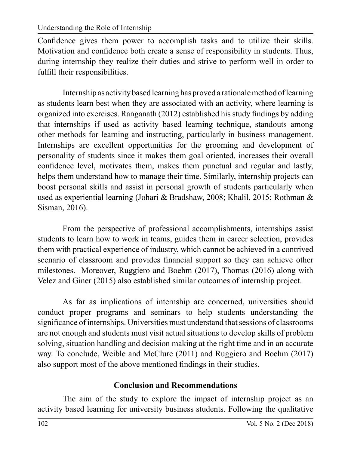Confidence gives them power to accomplish tasks and to utilize their skills. Motivation and confidence both create a sense of responsibility in students. Thus, during internship they realize their duties and strive to perform well in order to fulfill their responsibilities.

Internship as activity based learning has proved a rationale method of learning as students learn best when they are associated with an activity, where learning is organized into exercises. Ranganath (2012) established his study findings by adding that internships if used as activity based learning technique, standouts among other methods for learning and instructing, particularly in business management. Internships are excellent opportunities for the grooming and development of personality of students since it makes them goal oriented, increases their overall confidence level, motivates them, makes them punctual and regular and lastly, helps them understand how to manage their time. Similarly, internship projects can boost personal skills and assist in personal growth of students particularly when used as experiential learning (Johari & Bradshaw, 2008; Khalil, 2015; Rothman & Sisman, 2016).

From the perspective of professional accomplishments, internships assist students to learn how to work in teams, guides them in career selection, provides them with practical experience of industry, which cannot be achieved in a contrived scenario of classroom and provides financial support so they can achieve other milestones. Moreover, Ruggiero and Boehm (2017), Thomas (2016) along with Velez and Giner (2015) also established similar outcomes of internship project.

As far as implications of internship are concerned, universities should conduct proper programs and seminars to help students understanding the significance of internships. Universities must understand that sessions of classrooms are not enough and students must visit actual situations to develop skills of problem solving, situation handling and decision making at the right time and in an accurate way. To conclude, Weible and McClure (2011) and Ruggiero and Boehm (2017) also support most of the above mentioned findings in their studies.

## **Conclusion and Recommendations**

The aim of the study to explore the impact of internship project as an activity based learning for university business students. Following the qualitative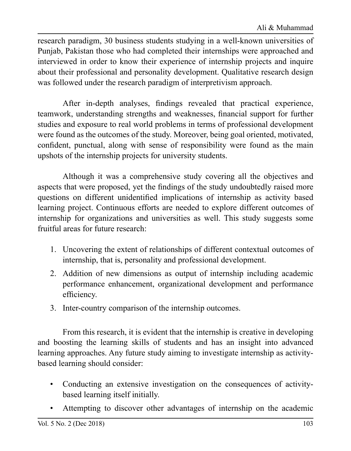research paradigm, 30 business students studying in a well-known universities of Punjab, Pakistan those who had completed their internships were approached and interviewed in order to know their experience of internship projects and inquire about their professional and personality development. Qualitative research design was followed under the research paradigm of interpretivism approach.

After in-depth analyses, findings revealed that practical experience, teamwork, understanding strengths and weaknesses, financial support for further studies and exposure to real world problems in terms of professional development were found as the outcomes of the study. Moreover, being goal oriented, motivated, confident, punctual, along with sense of responsibility were found as the main upshots of the internship projects for university students.

Although it was a comprehensive study covering all the objectives and aspects that were proposed, yet the findings of the study undoubtedly raised more questions on different unidentified implications of internship as activity based learning project. Continuous efforts are needed to explore different outcomes of internship for organizations and universities as well. This study suggests some fruitful areas for future research:

- 1. Uncovering the extent of relationships of different contextual outcomes of internship, that is, personality and professional development.
- 2. Addition of new dimensions as output of internship including academic performance enhancement, organizational development and performance efficiency.
- 3. Inter-country comparison of the internship outcomes.

From this research, it is evident that the internship is creative in developing and boosting the learning skills of students and has an insight into advanced learning approaches. Any future study aiming to investigate internship as activitybased learning should consider:

- Conducting an extensive investigation on the consequences of activitybased learning itself initially.
- Attempting to discover other advantages of internship on the academic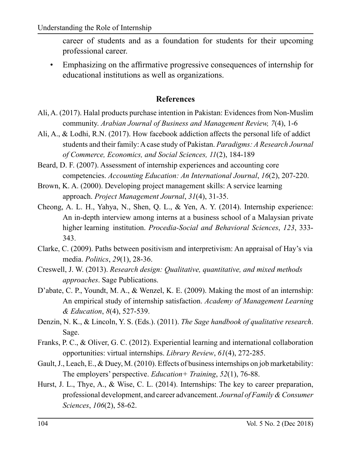career of students and as a foundation for students for their upcoming professional career.

• Emphasizing on the affirmative progressive consequences of internship for educational institutions as well as organizations.

#### **References**

- Ali, A. (2017). Halal products purchase intention in Pakistan: Evidences from Non-Muslim community. *Arabian Journal of Business and Management Review, 7*(4), 1-6
- Ali, A., & Lodhi, R.N. (2017). How facebook addiction affects the personal life of addict students and their family: A case study of Pakistan. *Paradigms: A Research Journal of Commerce, Economics, and Social Sciences, 11*(2), 184-189
- Beard, D. F. (2007). Assessment of internship experiences and accounting core competencies. *Accounting Education: An International Journal*, *16*(2), 207-220.
- Brown, K. A. (2000). Developing project management skills: A service learning approach. *Project Management Journal*, *31*(4), 31-35.
- Cheong, A. L. H., Yahya, N., Shen, Q. L., & Yen, A. Y. (2014). Internship experience: An in-depth interview among interns at a business school of a Malaysian private higher learning institution. *Procedia-Social and Behavioral Sciences*, *123*, 333- 343.
- Clarke, C. (2009). Paths between positivism and interpretivism: An appraisal of Hay's via media. *Politics*, *29*(1), 28-36.
- Creswell, J. W. (2013). *Research design: Qualitative, quantitative, and mixed methods approaches*. Sage Publications.
- D'abate, C. P., Youndt, M. A., & Wenzel, K. E. (2009). Making the most of an internship: An empirical study of internship satisfaction. *Academy of Management Learning & Education*, *8*(4), 527-539.
- Denzin, N. K., & Lincoln, Y. S. (Eds.). (2011). *The Sage handbook of qualitative research*. Sage.
- Franks, P. C., & Oliver, G. C. (2012). Experiential learning and international collaboration opportunities: virtual internships. *Library Review*, *61*(4), 272-285.
- Gault, J., Leach, E., & Duey, M. (2010). Effects of business internships on job marketability: The employers' perspective. *Education+ Training*, *52*(1), 76-88.
- Hurst, J. L., Thye, A., & Wise, C. L. (2014). Internships: The key to career preparation, professional development, and career advancement. *Journal of Family & Consumer Sciences*, *106*(2), 58-62.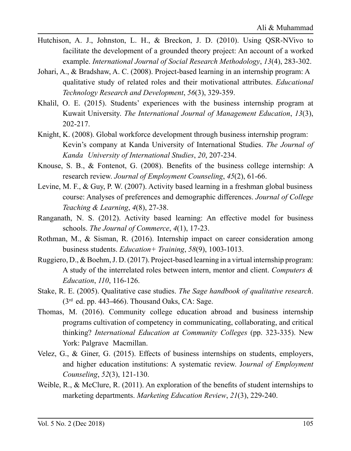- Hutchison, A. J., Johnston, L. H., & Breckon, J. D. (2010). Using QSR-NVivo to facilitate the development of a grounded theory project: An account of a worked example. *International Journal of Social Research Methodology*, *13*(4), 283-302.
- Johari, A., & Bradshaw, A. C. (2008). Project-based learning in an internship program: A qualitative study of related roles and their motivational attributes. *Educational Technology Research and Development*, *56*(3), 329-359.
- Khalil, O. E. (2015). Students' experiences with the business internship program at Kuwait University. *The International Journal of Management Education*, *13*(3), 202-217.
- Knight, K. (2008). Global workforce development through business internship program: Kevin's company at Kanda University of International Studies. *The Journal of Kanda University of International Studies*, *20*, 207-234.
- Knouse, S. B., & Fontenot, G. (2008). Benefits of the business college internship: A research review. *Journal of Employment Counseling*, *45*(2), 61-66.
- Levine, M. F., & Guy, P. W. (2007). Activity based learning in a freshman global business course: Analyses of preferences and demographic differences. *Journal of College Teaching & Learning*, *4*(8), 27-38.
- Ranganath, N. S. (2012). Activity based learning: An effective model for business schools. *The Journal of Commerce*, *4*(1), 17-23.
- Rothman, M., & Sisman, R. (2016). Internship impact on career consideration among business students. *Education+ Training*, *58*(9), 1003-1013.
- Ruggiero, D., & Boehm, J. D. (2017). Project-based learning in a virtual internship program: A study of the interrelated roles between intern, mentor and client. *Computers & Education*, *110*, 116-126.
- Stake, R. E. (2005). Qualitative case studies. *The Sage handbook of qualitative research*.  $(3<sup>rd</sup>$  ed. pp. 443-466). Thousand Oaks, CA: Sage.
- Thomas, M. (2016). Community college education abroad and business internship programs cultivation of competency in communicating, collaborating, and critical thinking? *International Education at Community Colleges* (pp. 323-335). New York: Palgrave Macmillan.
- Velez, G., & Giner, G. (2015). Effects of business internships on students, employers, and higher education institutions: A systematic review. J*ournal of Employment Counseling*, *52*(3), 121-130.
- Weible, R., & McClure, R. (2011). An exploration of the benefits of student internships to marketing departments. *Marketing Education Review*, *21*(3), 229-240.